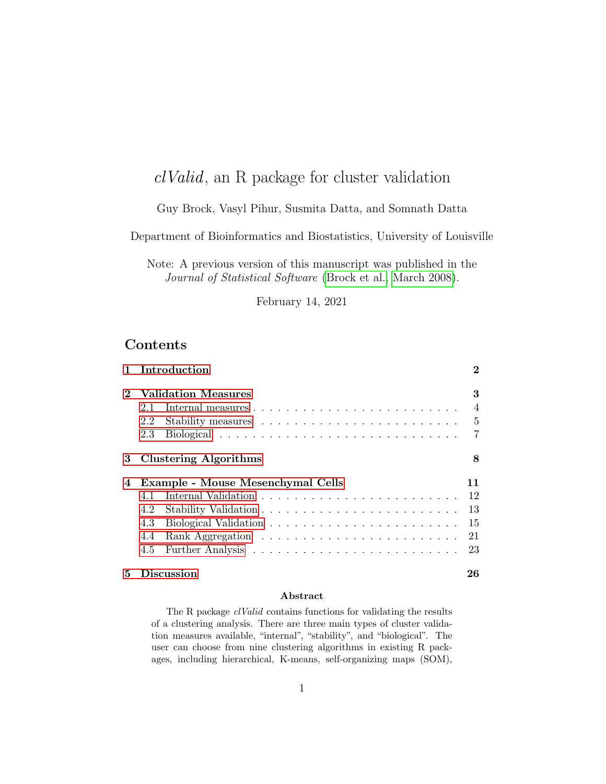# clValid, an R package for cluster validation

# Guy Brock, Vasyl Pihur, Susmita Datta, and Somnath Datta

Department of Bioinformatics and Biostatistics, University of Louisville

Note: A previous version of this manuscript was published in the Journal of Statistical Software [\(Brock et al., March 2008\)](#page-26-0).

February 14, 2021

# Contents

|                             | Introduction                      | $\bf{2}$       |
|-----------------------------|-----------------------------------|----------------|
| $\mathcal{D}_{\mathcal{L}}$ | <b>Validation Measures</b>        | 3              |
|                             | 2.1                               | $\overline{4}$ |
|                             | 2.2                               | $\overline{5}$ |
|                             | 2.3                               | 7              |
| 3                           | <b>Clustering Algorithms</b>      | 8              |
| 4                           | Example - Mouse Mesenchymal Cells | 11             |
|                             | 4.1                               | 12             |
|                             | 4.2                               | 13             |
|                             | 4.3                               | 15             |
|                             | 4.4                               | 21             |
|                             | 4.5                               | 23             |
| 5                           | Discussion                        | 26             |

#### Abstract

The R package *clValid* contains functions for validating the results of a clustering analysis. There are three main types of cluster validation measures available, "internal", "stability", and "biological". The user can choose from nine clustering algorithms in existing R packages, including hierarchical, K-means, self-organizing maps (SOM),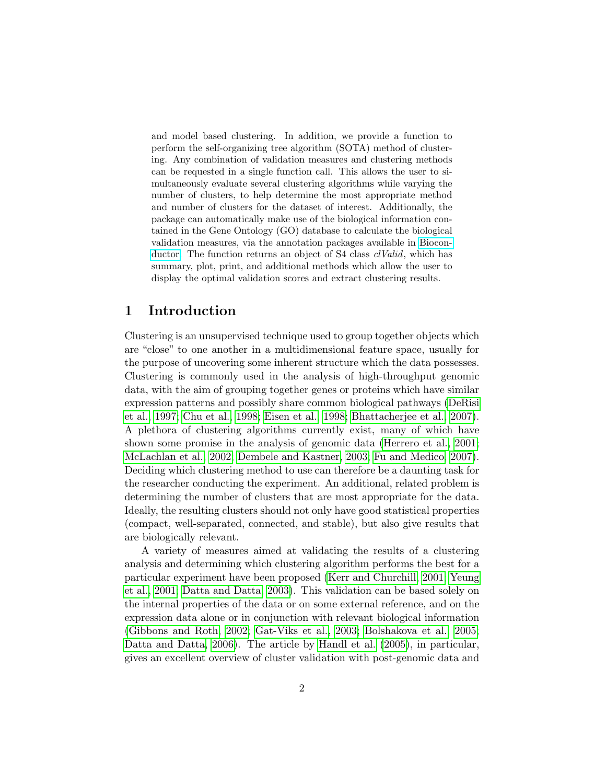and model based clustering. In addition, we provide a function to perform the self-organizing tree algorithm (SOTA) method of clustering. Any combination of validation measures and clustering methods can be requested in a single function call. This allows the user to simultaneously evaluate several clustering algorithms while varying the number of clusters, to help determine the most appropriate method and number of clusters for the dataset of interest. Additionally, the package can automatically make use of the biological information contained in the Gene Ontology (GO) database to calculate the biological validation measures, via the annotation packages available in [Biocon](http://www.bioconductor.org/)[ductor.](http://www.bioconductor.org/) The function returns an object of S4 class *clValid*, which has summary, plot, print, and additional methods which allow the user to display the optimal validation scores and extract clustering results.

# <span id="page-1-0"></span>1 Introduction

Clustering is an unsupervised technique used to group together objects which are "close" to one another in a multidimensional feature space, usually for the purpose of uncovering some inherent structure which the data possesses. Clustering is commonly used in the analysis of high-throughput genomic data, with the aim of grouping together genes or proteins which have similar expression patterns and possibly share common biological pathways [\(DeRisi](#page-27-0) [et al., 1997;](#page-27-0) [Chu et al., 1998;](#page-26-1) [Eisen et al., 1998;](#page-27-1) [Bhattacherjee et al., 2007\)](#page-26-2). A plethora of clustering algorithms currently exist, many of which have shown some promise in the analysis of genomic data [\(Herrero et al., 2001;](#page-28-0) [McLachlan et al., 2002;](#page-28-1) [Dembele and Kastner, 2003;](#page-27-2) [Fu and Medico, 2007\)](#page-27-3). Deciding which clustering method to use can therefore be a daunting task for the researcher conducting the experiment. An additional, related problem is determining the number of clusters that are most appropriate for the data. Ideally, the resulting clusters should not only have good statistical properties (compact, well-separated, connected, and stable), but also give results that are biologically relevant.

A variety of measures aimed at validating the results of a clustering analysis and determining which clustering algorithm performs the best for a particular experiment have been proposed [\(Kerr and Churchill, 2001;](#page-28-2) [Yeung](#page-29-0) [et al., 2001;](#page-29-0) [Datta and Datta, 2003\)](#page-26-3). This validation can be based solely on the internal properties of the data or on some external reference, and on the expression data alone or in conjunction with relevant biological information [\(Gibbons and Roth, 2002;](#page-28-3) [Gat-Viks et al., 2003;](#page-27-4) [Bolshakova et al., 2005;](#page-26-4) [Datta and Datta, 2006\)](#page-26-5). The article by [Handl et al.](#page-28-4) [\(2005\)](#page-28-4), in particular, gives an excellent overview of cluster validation with post-genomic data and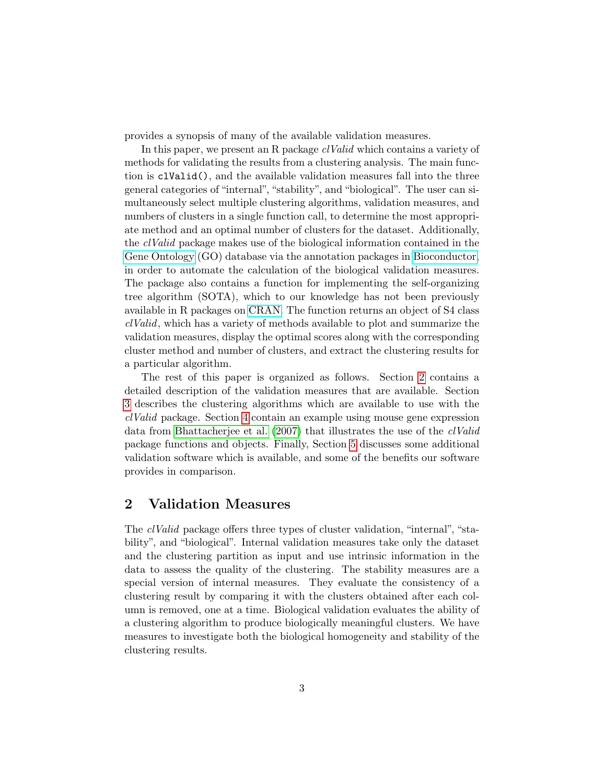provides a synopsis of many of the available validation measures.

In this paper, we present an R package *clValid* which contains a variety of methods for validating the results from a clustering analysis. The main function is clValid(), and the available validation measures fall into the three general categories of "internal", "stability", and "biological". The user can simultaneously select multiple clustering algorithms, validation measures, and numbers of clusters in a single function call, to determine the most appropriate method and an optimal number of clusters for the dataset. Additionally, the clValid package makes use of the biological information contained in the [Gene Ontology](http://www.geneontology.org/) (GO) database via the annotation packages in [Bioconductor,](http://www.bioconductor.org/) in order to automate the calculation of the biological validation measures. The package also contains a function for implementing the self-organizing tree algorithm (SOTA), which to our knowledge has not been previously available in R packages on [CRAN.](http://www.r-project.org) The function returns an object of S4 class clValid, which has a variety of methods available to plot and summarize the validation measures, display the optimal scores along with the corresponding cluster method and number of clusters, and extract the clustering results for a particular algorithm.

The rest of this paper is organized as follows. Section [2](#page-2-0) contains a detailed description of the validation measures that are available. Section [3](#page-7-0) describes the clustering algorithms which are available to use with the clValid package. Section [4](#page-10-0) contain an example using mouse gene expression data from [Bhattacherjee et al.](#page-26-2) [\(2007\)](#page-26-2) that illustrates the use of the clValid package functions and objects. Finally, Section [5](#page-25-0) discusses some additional validation software which is available, and some of the benefits our software provides in comparison.

# <span id="page-2-0"></span>2 Validation Measures

The clValid package offers three types of cluster validation, "internal", "stability", and "biological". Internal validation measures take only the dataset and the clustering partition as input and use intrinsic information in the data to assess the quality of the clustering. The stability measures are a special version of internal measures. They evaluate the consistency of a clustering result by comparing it with the clusters obtained after each column is removed, one at a time. Biological validation evaluates the ability of a clustering algorithm to produce biologically meaningful clusters. We have measures to investigate both the biological homogeneity and stability of the clustering results.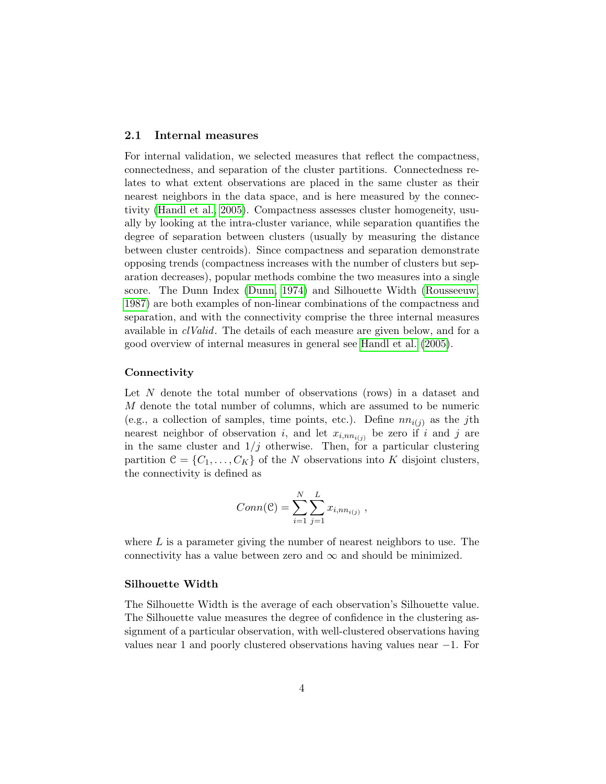### <span id="page-3-0"></span>2.1 Internal measures

For internal validation, we selected measures that reflect the compactness, connectedness, and separation of the cluster partitions. Connectedness relates to what extent observations are placed in the same cluster as their nearest neighbors in the data space, and is here measured by the connectivity [\(Handl et al., 2005\)](#page-28-4). Compactness assesses cluster homogeneity, usually by looking at the intra-cluster variance, while separation quantifies the degree of separation between clusters (usually by measuring the distance between cluster centroids). Since compactness and separation demonstrate opposing trends (compactness increases with the number of clusters but separation decreases), popular methods combine the two measures into a single score. The Dunn Index [\(Dunn, 1974\)](#page-27-5) and Silhouette Width [\(Rousseeuw,](#page-29-1) [1987\)](#page-29-1) are both examples of non-linear combinations of the compactness and separation, and with the connectivity comprise the three internal measures available in *clValid*. The details of each measure are given below, and for a good overview of internal measures in general see [Handl et al.](#page-28-4) [\(2005\)](#page-28-4).

#### **Connectivity**

Let N denote the total number of observations (rows) in a dataset and M denote the total number of columns, which are assumed to be numeric (e.g., a collection of samples, time points, etc.). Define  $nn_{i(j)}$  as the j<sup>th</sup> nearest neighbor of observation i, and let  $x_{i,nn_{i(j)}}$  be zero if i and j are in the same cluster and  $1/j$  otherwise. Then, for a particular clustering partition  $\mathcal{C} = \{C_1, \ldots, C_K\}$  of the N observations into K disjoint clusters, the connectivity is defined as

$$
Conn(\mathcal{C}) = \sum_{i=1}^{N} \sum_{j=1}^{L} x_{i,nn_{i(j)}} ,
$$

where  $L$  is a parameter giving the number of nearest neighbors to use. The connectivity has a value between zero and  $\infty$  and should be minimized.

#### Silhouette Width

The Silhouette Width is the average of each observation's Silhouette value. The Silhouette value measures the degree of confidence in the clustering assignment of a particular observation, with well-clustered observations having values near 1 and poorly clustered observations having values near −1. For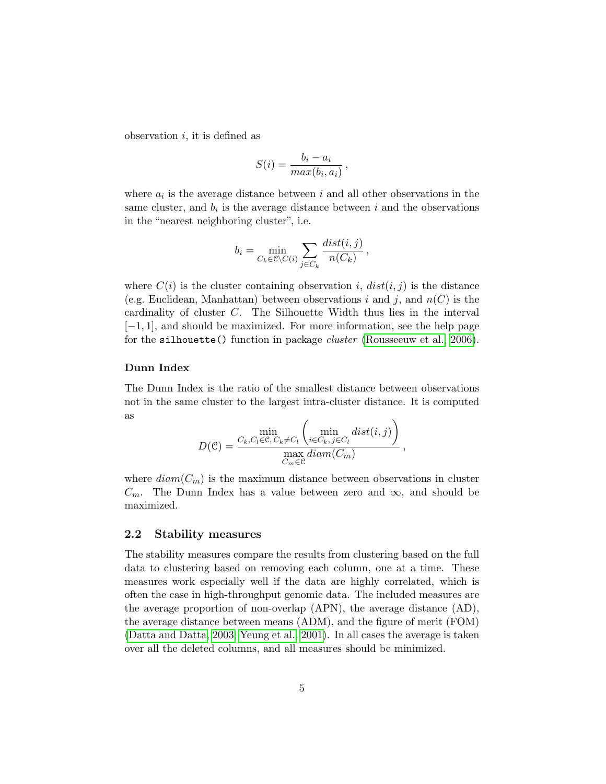observation  $i$ , it is defined as

$$
S(i) = \frac{b_i - a_i}{max(b_i, a_i)},
$$

where  $a_i$  is the average distance between i and all other observations in the same cluster, and  $b_i$  is the average distance between i and the observations in the "nearest neighboring cluster", i.e.

$$
b_i = \min_{C_k \in \mathcal{C} \setminus C(i)} \sum_{j \in C_k} \frac{dist(i,j)}{n(C_k)},
$$

where  $C(i)$  is the cluster containing observation i,  $dist(i, j)$  is the distance (e.g. Euclidean, Manhattan) between observations i and j, and  $n(C)$  is the cardinality of cluster C. The Silhouette Width thus lies in the interval [−1, 1], and should be maximized. For more information, see the help page for the silhouette() function in package *cluster* [\(Rousseeuw et al., 2006\)](#page-29-2).

#### Dunn Index

The Dunn Index is the ratio of the smallest distance between observations not in the same cluster to the largest intra-cluster distance. It is computed as

$$
D(\mathcal{C}) = \frac{C_k, C_l \in \mathcal{C}, C_k \neq C_l} {\max_{C_m \in \mathcal{C}} \text{diam}(C_m)} \frac{dist(i,j)}{C_m \in \mathcal{C}},
$$

where  $diam(C_m)$  is the maximum distance between observations in cluster  $C_m$ . The Dunn Index has a value between zero and  $\infty$ , and should be maximized.

#### <span id="page-4-0"></span>2.2 Stability measures

The stability measures compare the results from clustering based on the full data to clustering based on removing each column, one at a time. These measures work especially well if the data are highly correlated, which is often the case in high-throughput genomic data. The included measures are the average proportion of non-overlap (APN), the average distance (AD), the average distance between means (ADM), and the figure of merit (FOM) [\(Datta and Datta, 2003;](#page-26-3) [Yeung et al., 2001\)](#page-29-0). In all cases the average is taken over all the deleted columns, and all measures should be minimized.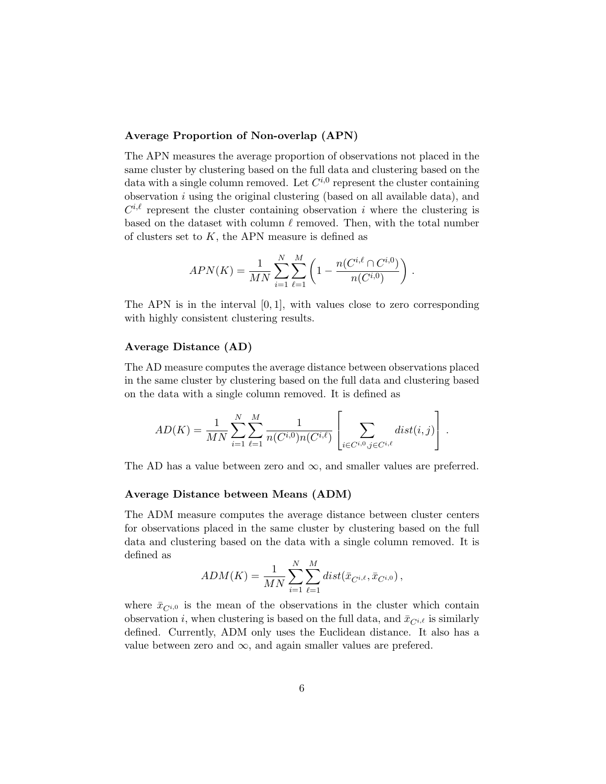## Average Proportion of Non-overlap (APN)

The APN measures the average proportion of observations not placed in the same cluster by clustering based on the full data and clustering based on the data with a single column removed. Let  $C^{i,0}$  represent the cluster containing observation  $i$  using the original clustering (based on all available data), and  $C^{i,\ell}$  represent the cluster containing observation i where the clustering is based on the dataset with column  $\ell$  removed. Then, with the total number of clusters set to  $K$ , the APN measure is defined as

$$
APN(K) = \frac{1}{MN} \sum_{i=1}^{N} \sum_{\ell=1}^{M} \left( 1 - \frac{n(C^{i,\ell} \cap C^{i,0})}{n(C^{i,0})} \right).
$$

The APN is in the interval  $[0, 1]$ , with values close to zero corresponding with highly consistent clustering results.

## Average Distance (AD)

The AD measure computes the average distance between observations placed in the same cluster by clustering based on the full data and clustering based on the data with a single column removed. It is defined as

$$
AD(K) = \frac{1}{MN} \sum_{i=1}^{N} \sum_{\ell=1}^{M} \frac{1}{n(C^{i,0})n(C^{i,\ell})} \left[ \sum_{i \in C^{i,0}, j \in C^{i,\ell}} dist(i,j) \right].
$$

The AD has a value between zero and  $\infty$ , and smaller values are preferred.

### Average Distance between Means (ADM)

The ADM measure computes the average distance between cluster centers for observations placed in the same cluster by clustering based on the full data and clustering based on the data with a single column removed. It is defined as

$$
ADM(K)=\frac{1}{MN}\sum_{i=1}^{N}\sum_{\ell=1}^{M}dist(\bar{x}_{C^{i,\ell}},\bar{x}_{C^{i,0}}),
$$

where  $\bar{x}_{C^{i,0}}$  is the mean of the observations in the cluster which contain observation i, when clustering is based on the full data, and  $\bar{x}_{C^{i,\ell}}$  is similarly defined. Currently, ADM only uses the Euclidean distance. It also has a value between zero and  $\infty$ , and again smaller values are prefered.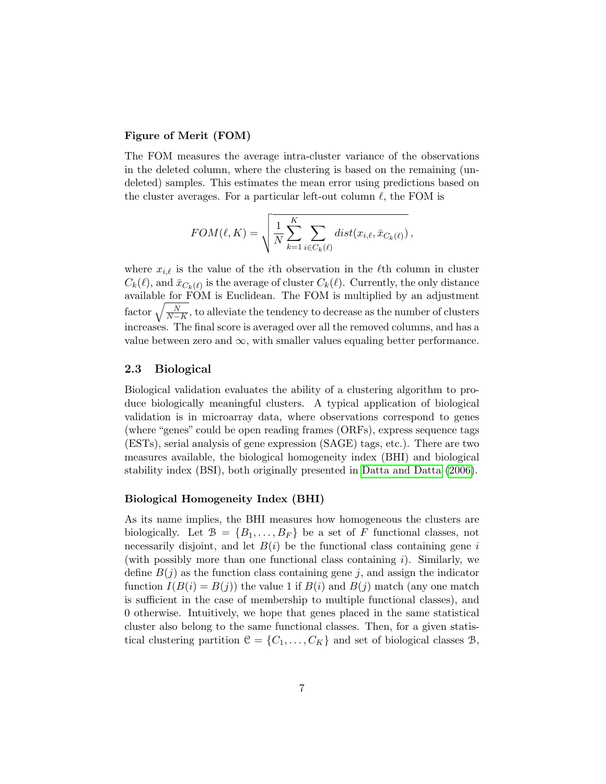## Figure of Merit (FOM)

The FOM measures the average intra-cluster variance of the observations in the deleted column, where the clustering is based on the remaining (undeleted) samples. This estimates the mean error using predictions based on the cluster averages. For a particular left-out column  $\ell$ , the FOM is

$$
FOM(\ell, K) = \sqrt{\frac{1}{N} \sum_{k=1}^{K} \sum_{i \in C_k(\ell)} dist(x_{i,\ell}, \bar{x}_{C_k(\ell)}),}
$$

where  $x_{i,\ell}$  is the value of the *i*th observation in the  $\ell$ th column in cluster  $C_k(\ell)$ , and  $\bar{x}_{C_k(\ell)}$  is the average of cluster  $C_k(\ell)$ . Currently, the only distance available for FOM is Euclidean. The FOM is multiplied by an adjustment factor  $\sqrt{\frac{N}{N-K}}$ , to alleviate the tendency to decrease as the number of clusters increases. The final score is averaged over all the removed columns, and has a value between zero and  $\infty$ , with smaller values equaling better performance.

## <span id="page-6-0"></span>2.3 Biological

Biological validation evaluates the ability of a clustering algorithm to produce biologically meaningful clusters. A typical application of biological validation is in microarray data, where observations correspond to genes (where "genes" could be open reading frames (ORFs), express sequence tags (ESTs), serial analysis of gene expression (SAGE) tags, etc.). There are two measures available, the biological homogeneity index (BHI) and biological stability index (BSI), both originally presented in [Datta and Datta](#page-26-5) [\(2006\)](#page-26-5).

#### Biological Homogeneity Index (BHI)

As its name implies, the BHI measures how homogeneous the clusters are biologically. Let  $\mathcal{B} = \{B_1, \ldots, B_F\}$  be a set of F functional classes, not necessarily disjoint, and let  $B(i)$  be the functional class containing gene i (with possibly more than one functional class containing i). Similarly, we define  $B(j)$  as the function class containing gene j, and assign the indicator function  $I(B(i) = B(j))$  the value 1 if  $B(i)$  and  $B(j)$  match (any one match is sufficient in the case of membership to multiple functional classes), and 0 otherwise. Intuitively, we hope that genes placed in the same statistical cluster also belong to the same functional classes. Then, for a given statistical clustering partition  $\mathcal{C} = \{C_1, \ldots, C_K\}$  and set of biological classes  $\mathcal{B}$ ,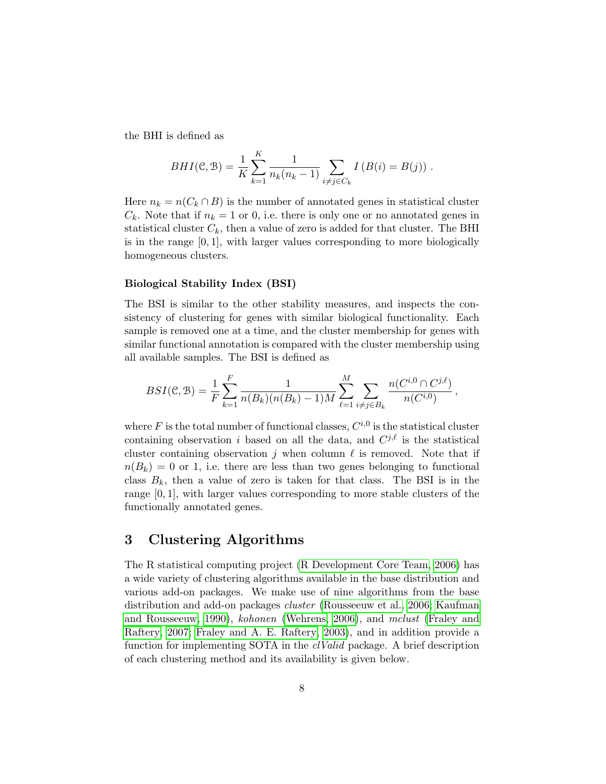the BHI is defined as

$$
BHI(C, B) = \frac{1}{K} \sum_{k=1}^{K} \frac{1}{n_k(n_k - 1)} \sum_{i \neq j \in C_k} I(B(i) = B(j)).
$$

Here  $n_k = n(C_k \cap B)$  is the number of annotated genes in statistical cluster  $C_k$ . Note that if  $n_k = 1$  or 0, i.e. there is only one or no annotated genes in statistical cluster  $C_k$ , then a value of zero is added for that cluster. The BHI is in the range  $[0, 1]$ , with larger values corresponding to more biologically homogeneous clusters.

#### Biological Stability Index (BSI)

The BSI is similar to the other stability measures, and inspects the consistency of clustering for genes with similar biological functionality. Each sample is removed one at a time, and the cluster membership for genes with similar functional annotation is compared with the cluster membership using all available samples. The BSI is defined as

$$
BSI(\mathcal{C}, \mathcal{B}) = \frac{1}{F} \sum_{k=1}^{F} \frac{1}{n(B_k)(n(B_k) - 1)M} \sum_{\ell=1}^{M} \sum_{i \neq j \in B_k} \frac{n(C^{i,0} \cap C^{j,\ell})}{n(C^{i,0})},
$$

where F is the total number of functional classes,  $C^{i,0}$  is the statistical cluster containing observation i based on all the data, and  $C^{j,\ell}$  is the statistical cluster containing observation  $i$  when column  $\ell$  is removed. Note that if  $n(B_k) = 0$  or 1, i.e. there are less than two genes belonging to functional class  $B_k$ , then a value of zero is taken for that class. The BSI is in the range [0, 1], with larger values corresponding to more stable clusters of the functionally annotated genes.

# <span id="page-7-0"></span>3 Clustering Algorithms

The R statistical computing project [\(R Development Core Team, 2006\)](#page-28-5) has a wide variety of clustering algorithms available in the base distribution and various add-on packages. We make use of nine algorithms from the base distribution and add-on packages cluster [\(Rousseeuw et al., 2006;](#page-29-2) [Kaufman](#page-28-6) [and Rousseeuw, 1990\)](#page-28-6), kohonen [\(Wehrens, 2006\)](#page-29-3), and mclust [\(Fraley and](#page-27-6) [Raftery, 2007;](#page-27-6) [Fraley and A. E. Raftery, 2003\)](#page-27-7), and in addition provide a function for implementing SOTA in the *clValid* package. A brief description of each clustering method and its availability is given below.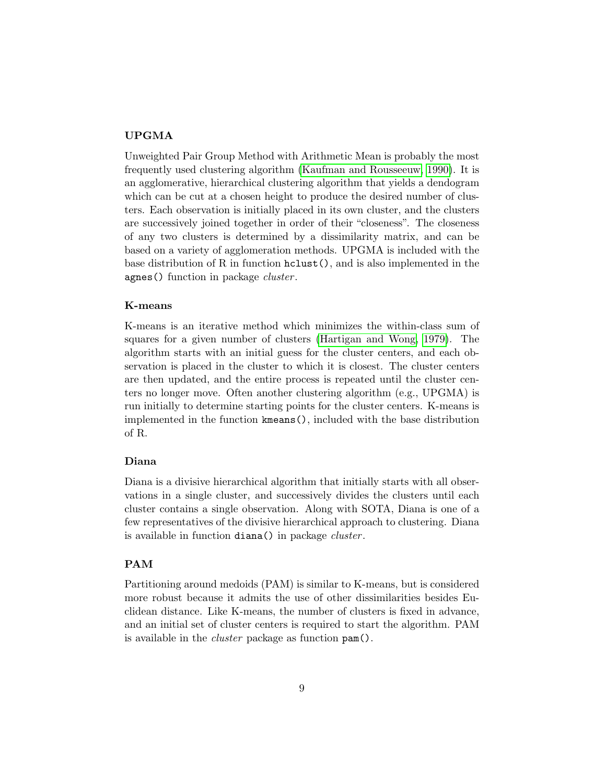# UPGMA

Unweighted Pair Group Method with Arithmetic Mean is probably the most frequently used clustering algorithm [\(Kaufman and Rousseeuw, 1990\)](#page-28-6). It is an agglomerative, hierarchical clustering algorithm that yields a dendogram which can be cut at a chosen height to produce the desired number of clusters. Each observation is initially placed in its own cluster, and the clusters are successively joined together in order of their "closeness". The closeness of any two clusters is determined by a dissimilarity matrix, and can be based on a variety of agglomeration methods. UPGMA is included with the base distribution of R in function hclust(), and is also implemented in the agnes() function in package *cluster*.

## K-means

K-means is an iterative method which minimizes the within-class sum of squares for a given number of clusters [\(Hartigan and Wong, 1979\)](#page-28-7). The algorithm starts with an initial guess for the cluster centers, and each observation is placed in the cluster to which it is closest. The cluster centers are then updated, and the entire process is repeated until the cluster centers no longer move. Often another clustering algorithm (e.g., UPGMA) is run initially to determine starting points for the cluster centers. K-means is implemented in the function kmeans(), included with the base distribution of R.

#### Diana

Diana is a divisive hierarchical algorithm that initially starts with all observations in a single cluster, and successively divides the clusters until each cluster contains a single observation. Along with SOTA, Diana is one of a few representatives of the divisive hierarchical approach to clustering. Diana is available in function diana() in package *cluster*.

#### PAM

Partitioning around medoids (PAM) is similar to K-means, but is considered more robust because it admits the use of other dissimilarities besides Euclidean distance. Like K-means, the number of clusters is fixed in advance, and an initial set of cluster centers is required to start the algorithm. PAM is available in the cluster package as function pam().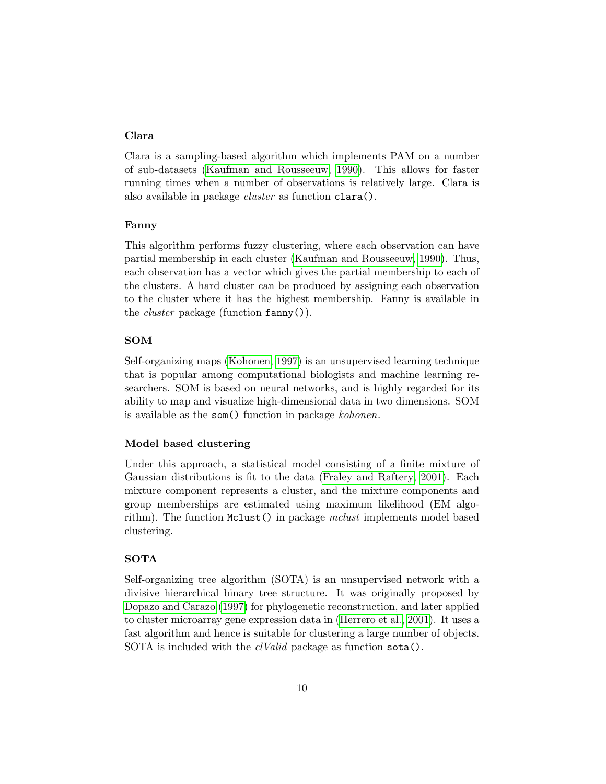# Clara

Clara is a sampling-based algorithm which implements PAM on a number of sub-datasets [\(Kaufman and Rousseeuw, 1990\)](#page-28-6). This allows for faster running times when a number of observations is relatively large. Clara is also available in package cluster as function clara().

#### Fanny

This algorithm performs fuzzy clustering, where each observation can have partial membership in each cluster [\(Kaufman and Rousseeuw, 1990\)](#page-28-6). Thus, each observation has a vector which gives the partial membership to each of the clusters. A hard cluster can be produced by assigning each observation to the cluster where it has the highest membership. Fanny is available in the *cluster* package (function  $fanny()$ ).

## SOM

Self-organizing maps [\(Kohonen, 1997\)](#page-28-8) is an unsupervised learning technique that is popular among computational biologists and machine learning researchers. SOM is based on neural networks, and is highly regarded for its ability to map and visualize high-dimensional data in two dimensions. SOM is available as the som() function in package kohonen.

#### Model based clustering

Under this approach, a statistical model consisting of a finite mixture of Gaussian distributions is fit to the data [\(Fraley and Raftery, 2001\)](#page-27-8). Each mixture component represents a cluster, and the mixture components and group memberships are estimated using maximum likelihood (EM algorithm). The function Mclust() in package mclust implements model based clustering.

#### SOTA

Self-organizing tree algorithm (SOTA) is an unsupervised network with a divisive hierarchical binary tree structure. It was originally proposed by [Dopazo and Carazo](#page-27-9) [\(1997\)](#page-27-9) for phylogenetic reconstruction, and later applied to cluster microarray gene expression data in [\(Herrero et al., 2001\)](#page-28-0). It uses a fast algorithm and hence is suitable for clustering a large number of objects. SOTA is included with the *clValid* package as function sota().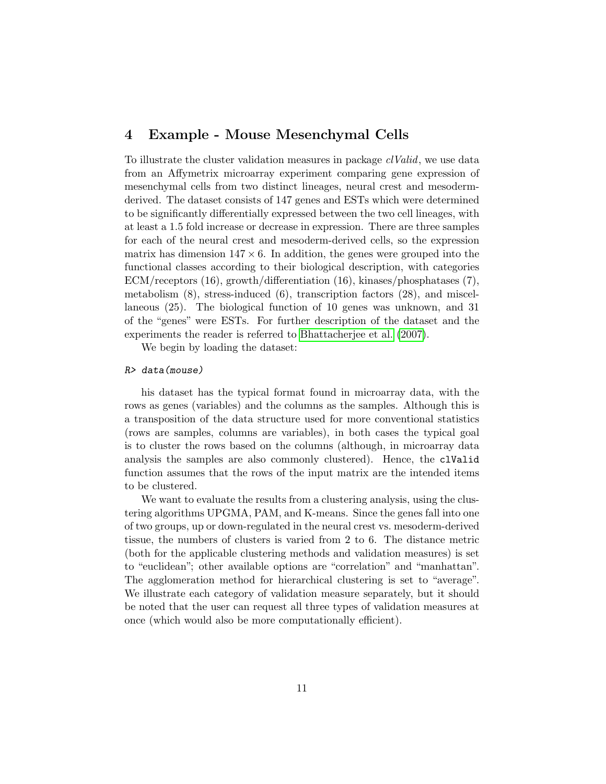# <span id="page-10-0"></span>4 Example - Mouse Mesenchymal Cells

To illustrate the cluster validation measures in package clValid, we use data from an Affymetrix microarray experiment comparing gene expression of mesenchymal cells from two distinct lineages, neural crest and mesodermderived. The dataset consists of 147 genes and ESTs which were determined to be significantly differentially expressed between the two cell lineages, with at least a 1.5 fold increase or decrease in expression. There are three samples for each of the neural crest and mesoderm-derived cells, so the expression matrix has dimension  $147 \times 6$ . In addition, the genes were grouped into the functional classes according to their biological description, with categories ECM/receptors (16), growth/differentiation (16), kinases/phosphatases (7), metabolism (8), stress-induced (6), transcription factors (28), and miscellaneous (25). The biological function of 10 genes was unknown, and 31 of the "genes" were ESTs. For further description of the dataset and the experiments the reader is referred to [Bhattacherjee et al.](#page-26-2) [\(2007\)](#page-26-2).

We begin by loading the dataset:

#### R> data(mouse)

his dataset has the typical format found in microarray data, with the rows as genes (variables) and the columns as the samples. Although this is a transposition of the data structure used for more conventional statistics (rows are samples, columns are variables), in both cases the typical goal is to cluster the rows based on the columns (although, in microarray data analysis the samples are also commonly clustered). Hence, the clValid function assumes that the rows of the input matrix are the intended items to be clustered.

We want to evaluate the results from a clustering analysis, using the clustering algorithms UPGMA, PAM, and K-means. Since the genes fall into one of two groups, up or down-regulated in the neural crest vs. mesoderm-derived tissue, the numbers of clusters is varied from 2 to 6. The distance metric (both for the applicable clustering methods and validation measures) is set to "euclidean"; other available options are "correlation" and "manhattan". The agglomeration method for hierarchical clustering is set to "average". We illustrate each category of validation measure separately, but it should be noted that the user can request all three types of validation measures at once (which would also be more computationally efficient).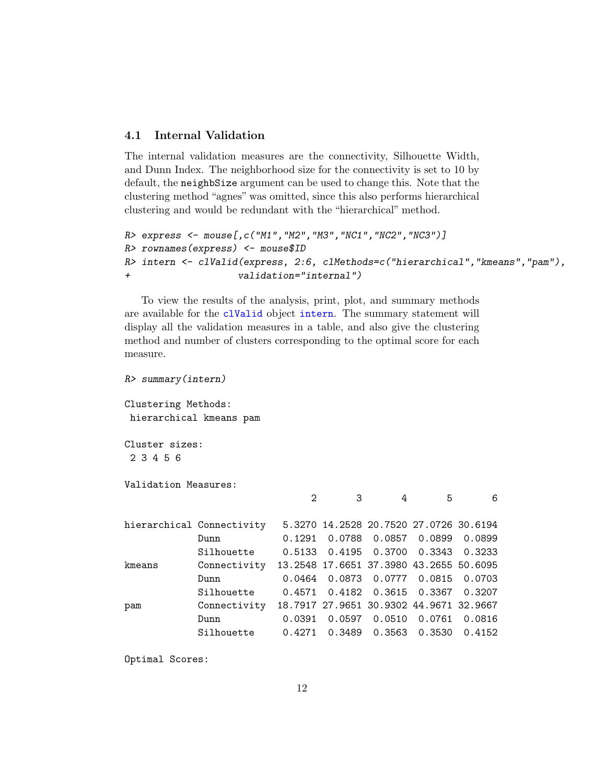# <span id="page-11-0"></span>4.1 Internal Validation

The internal validation measures are the connectivity, Silhouette Width, and Dunn Index. The neighborhood size for the connectivity is set to 10 by default, the neighbSize argument can be used to change this. Note that the clustering method "agnes" was omitted, since this also performs hierarchical clustering and would be redundant with the "hierarchical" method.

```
R> express <- mouse[,c("M1","M2","M3","NC1","NC2","NC3")]
R> rownames(express) <- mouse$ID
R> intern <- clValid(express, 2:6, clMethods=c("hierarchical","kmeans","pam"),
+ validation="internal")
```
To view the results of the analysis, print, plot, and summary methods are available for the clValid object intern. The summary statement will display all the validation measures in a table, and also give the clustering method and number of clusters corresponding to the optimal score for each measure.

```
R> summary(intern)
Clustering Methods:
hierarchical kmeans pam
Cluster sizes:
2 3 4 5 6
Validation Measures:
                            2 3 4 5 6
hierarchical Connectivity 5.3270 14.2528 20.7520 27.0726 30.6194
           Dunn 0.1291 0.0788 0.0857 0.0899 0.0899
           Silhouette 0.5133 0.4195 0.3700 0.3343 0.3233
kmeans Connectivity 13.2548 17.6651 37.3980 43.2655 50.6095
           Dunn 0.0464 0.0873 0.0777 0.0815 0.0703
           Silhouette 0.4571 0.4182 0.3615 0.3367 0.3207
pam Connectivity 18.7917 27.9651 30.9302 44.9671 32.9667
           Dunn 0.0391 0.0597 0.0510 0.0761 0.0816
           Silhouette 0.4271 0.3489 0.3563 0.3530 0.4152
```
Optimal Scores: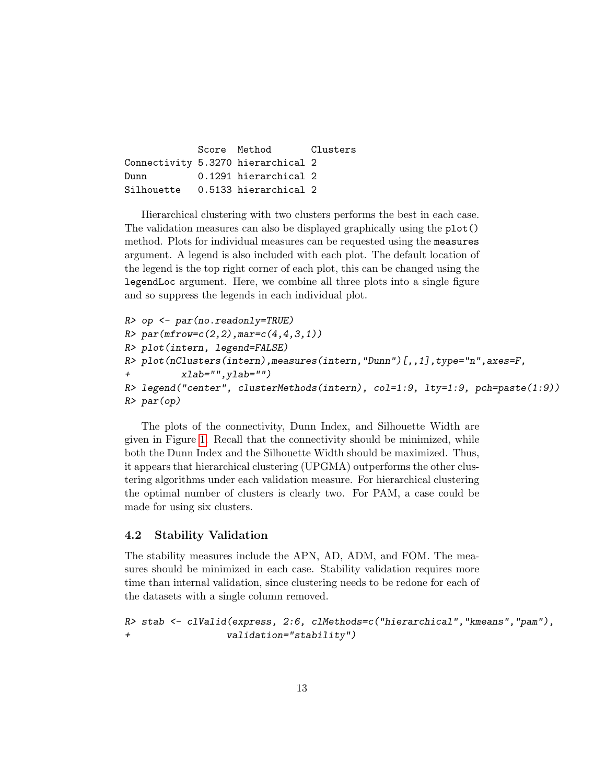Score Method Clusters Connectivity 5.3270 hierarchical 2 Dunn 0.1291 hierarchical 2 Silhouette 0.5133 hierarchical 2

Hierarchical clustering with two clusters performs the best in each case. The validation measures can also be displayed graphically using the plot() method. Plots for individual measures can be requested using the measures argument. A legend is also included with each plot. The default location of the legend is the top right corner of each plot, this can be changed using the legendLoc argument. Here, we combine all three plots into a single figure and so suppress the legends in each individual plot.

```
R> op \leq par(no.readonly=TRUE)
R > par(mfrow=c(2,2),mar=c(4,4,3,1))R> plot(intern, legend=FALSE)
R> plot(nClusters(intern),measures(intern,"Dunn")[,,1],type="n",axes=F,
+ xlab="",ylab="")
R> legend("center", clusterMethods(intern), col=1:9, lty=1:9, pch=paste(1:9))
R> par(op)
```
The plots of the connectivity, Dunn Index, and Silhouette Width are given in Figure [1.](#page-13-0) Recall that the connectivity should be minimized, while both the Dunn Index and the Silhouette Width should be maximized. Thus, it appears that hierarchical clustering (UPGMA) outperforms the other clustering algorithms under each validation measure. For hierarchical clustering the optimal number of clusters is clearly two. For PAM, a case could be made for using six clusters.

## <span id="page-12-0"></span>4.2 Stability Validation

The stability measures include the APN, AD, ADM, and FOM. The measures should be minimized in each case. Stability validation requires more time than internal validation, since clustering needs to be redone for each of the datasets with a single column removed.

```
R> stab <- clValid(express, 2:6, clMethods=c("hierarchical","kmeans","pam"),
+ validation="stability")
```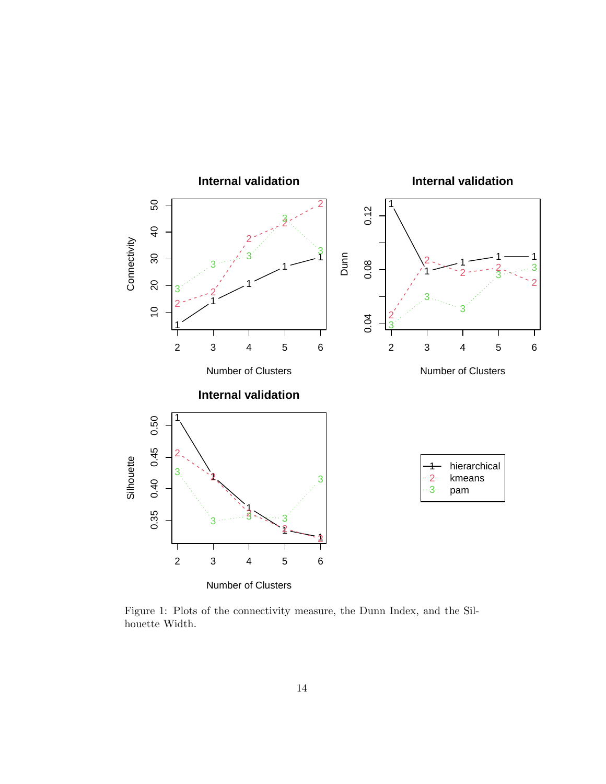

<span id="page-13-0"></span>Figure 1: Plots of the connectivity measure, the Dunn Index, and the Silhouette Width.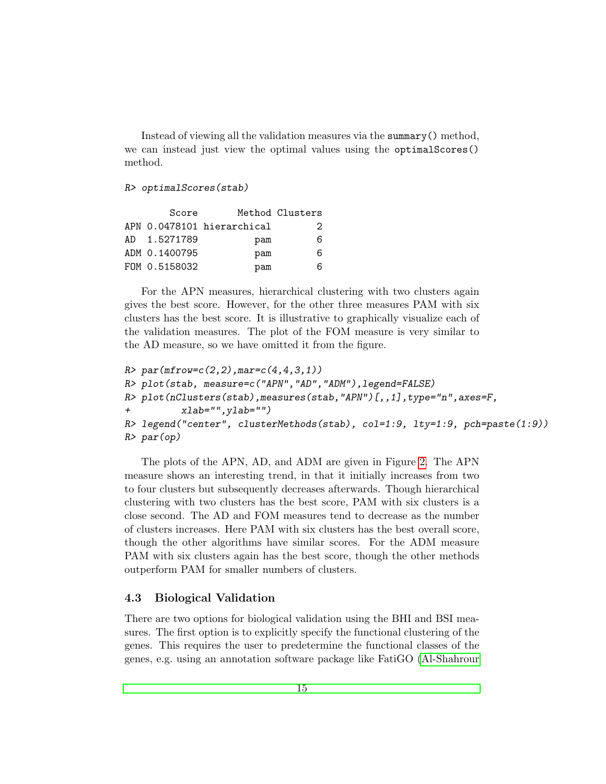Instead of viewing all the validation measures via the summary() method, we can instead just view the optimal values using the optimalScores() method.

#### R> optimalScores(stab)

|     | Score         |                            | Method Clusters |
|-----|---------------|----------------------------|-----------------|
|     |               | APN 0.0478101 hierarchical | 2               |
| AD. | 1.5271789     | pam                        | 6               |
|     | ADM 0.1400795 | pam                        | 6               |
|     | FOM 0.5158032 | pam                        | 6               |

For the APN measures, hierarchical clustering with two clusters again gives the best score. However, for the other three measures PAM with six clusters has the best score. It is illustrative to graphically visualize each of the validation measures. The plot of the FOM measure is very similar to the AD measure, so we have omitted it from the figure.

```
R > par(mfrow=c(2,2),mar=c(4,4,3,1))R> plot(stab, measure=c("APN","AD","ADM"),legend=FALSE)
R> plot(nClusters(stab),measures(stab,"APN")[,,1],type="n",axes=F,
+ xlab="",ylab="")
R> legend("center", clusterMethods(stab), col=1:9, lty=1:9, pch=paste(1:9))
R> par(op)
```
The plots of the APN, AD, and ADM are given in Figure [2.](#page-15-0) The APN measure shows an interesting trend, in that it initially increases from two to four clusters but subsequently decreases afterwards. Though hierarchical clustering with two clusters has the best score, PAM with six clusters is a close second. The AD and FOM measures tend to decrease as the number of clusters increases. Here PAM with six clusters has the best overall score, though the other algorithms have similar scores. For the ADM measure PAM with six clusters again has the best score, though the other methods outperform PAM for smaller numbers of clusters.

# <span id="page-14-0"></span>4.3 Biological Validation

There are two options for biological validation using the BHI and BSI measures. The first option is to explicitly specify the functional clustering of the genes. This requires the user to predetermine the functional classes of the genes, e.g. using an annotation software package like FatiGO [\(Al-Shahrour](#page-26-6)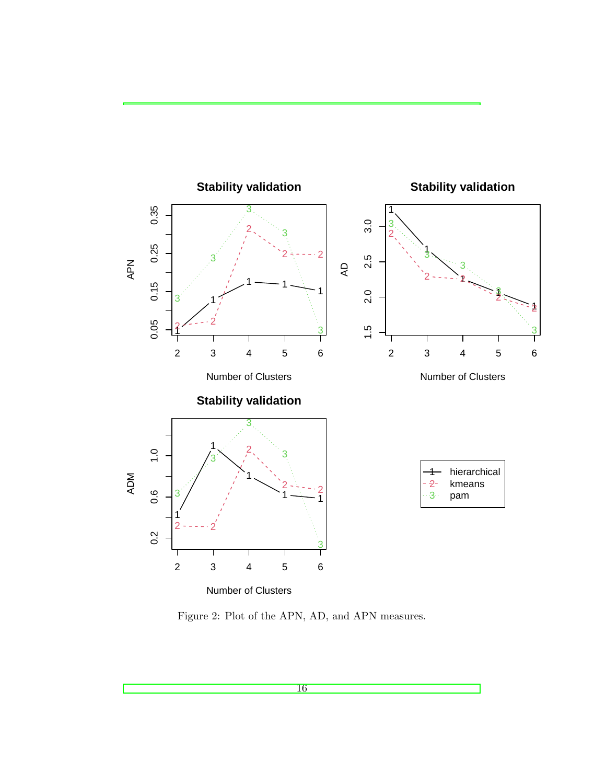

<span id="page-15-0"></span>Figure 2: Plot of the APN, AD, and APN measures.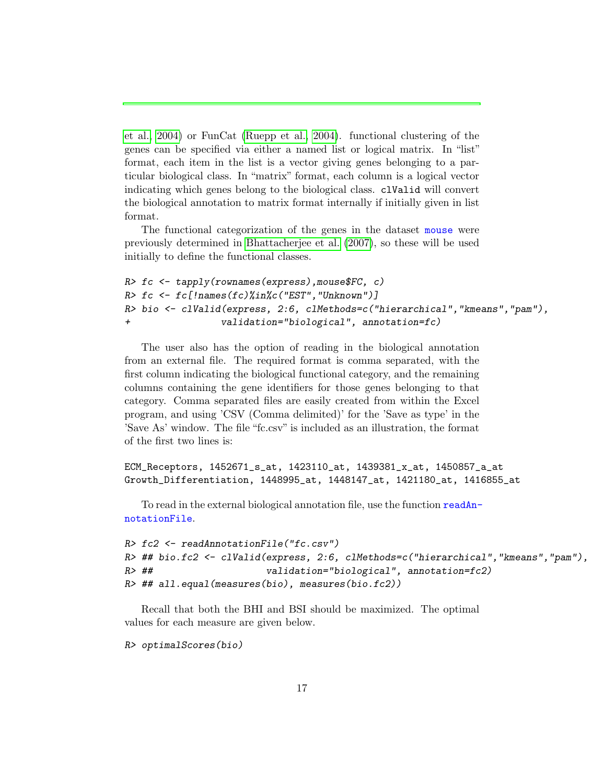[et al., 2004\)](#page-26-6) or FunCat [\(Ruepp et al., 2004\)](#page-29-4). functional clustering of the genes can be specified via either a named list or logical matrix. In "list" format, each item in the list is a vector giving genes belonging to a particular biological class. In "matrix" format, each column is a logical vector indicating which genes belong to the biological class. clValid will convert the biological annotation to matrix format internally if initially given in list format.

The functional categorization of the genes in the dataset mouse were previously determined in [Bhattacherjee et al.](#page-26-2) [\(2007\)](#page-26-2), so these will be used initially to define the functional classes.

```
R> fc <- tapply(rownames(express), mouse$FC, c)
R > fc \leq fc [!names(fc)%in%c("EST", "Unknown")]
R> bio <- clValid(express, 2:6, clMethods=c("hierarchical","kmeans","pam"),
+ validation="biological", annotation=fc)
```
The user also has the option of reading in the biological annotation from an external file. The required format is comma separated, with the first column indicating the biological functional category, and the remaining columns containing the gene identifiers for those genes belonging to that category. Comma separated files are easily created from within the Excel program, and using 'CSV (Comma delimited)' for the 'Save as type' in the 'Save As' window. The file "fc.csv" is included as an illustration, the format of the first two lines is:

```
ECM_Receptors, 1452671_s_at, 1423110_at, 1439381_x_at, 1450857_a_at
Growth_Differentiation, 1448995_at, 1448147_at, 1421180_at, 1416855_at
```
To read in the external biological annotation file, use the function readAnnotationFile.

```
R> fc2 <- readAnnotationFile("fc.csv")
R> ## bio.fc2 <- clValid(express, 2:6, clMethods=c("hierarchical", "kmeans", "pam"),
R> ## validation="biological", annotation=fc2)
R> ## all.equal(measures(bio), measures(bio.fc2))
```
Recall that both the BHI and BSI should be maximized. The optimal values for each measure are given below.

R> optimalScores(bio)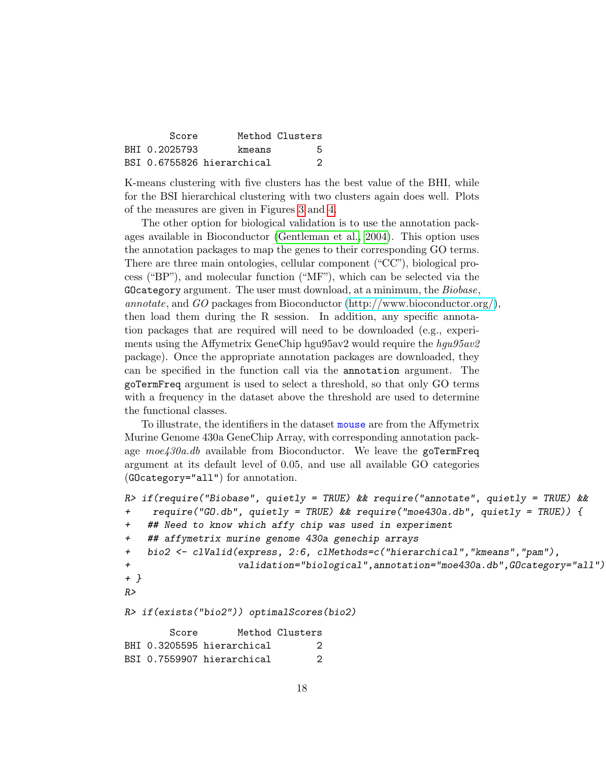| Score         |                            | Method Clusters |
|---------------|----------------------------|-----------------|
| BHT 0.2025793 | kmeans                     | 5.              |
|               | BSI 0.6755826 hierarchical | 2               |

K-means clustering with five clusters has the best value of the BHI, while for the BSI hierarchical clustering with two clusters again does well. Plots of the measures are given in Figures [3](#page-18-0) and [4.](#page-19-0)

The other option for biological validation is to use the annotation packages available in Bioconductor [\(Gentleman et al., 2004\)](#page-27-10). This option uses the annotation packages to map the genes to their corresponding GO terms. There are three main ontologies, cellular component ("CC"), biological process ("BP"), and molecular function ("MF"), which can be selected via the GOcategory argument. The user must download, at a minimum, the Biobase, annotate, and GO packages from Bioconductor [\(http://www.bioconductor.org/\)](http://www.bioconductor.org/), then load them during the R session. In addition, any specific annotation packages that are required will need to be downloaded (e.g., experiments using the Affymetrix GeneChip hgu95av2 would require the  $hqu95av2$ package). Once the appropriate annotation packages are downloaded, they can be specified in the function call via the annotation argument. The goTermFreq argument is used to select a threshold, so that only GO terms with a frequency in the dataset above the threshold are used to determine the functional classes.

To illustrate, the identifiers in the dataset mouse are from the Affymetrix Murine Genome 430a GeneChip Array, with corresponding annotation package  $moe430a$ .db available from Bioconductor. We leave the goTermFreq argument at its default level of 0.05, and use all available GO categories (GOcategory="all") for annotation.

```
R> if(require("Biobase", quietly = TRUE) && require("annotate", quietly = TRUE) &&
+ require("GO.db", quietly = TRUE) && require("moe430a.db", quietly = TRUE)) {
+ ## Need to know which affy chip was used in experiment
+ ## affymetrix murine genome 430a genechip arrays
+ bio2 <- clValid(express, 2:6, clMethods=c("hierarchical","kmeans","pam"),
+ validation="biological",annotation="moe430a.db",GOcategory="all")
+ }
RR> if(exists("bio2")) optimalScores(bio2)
       Score Method Clusters
BHI 0.3205595 hierarchical 2
BSI 0.7559907 hierarchical 2
```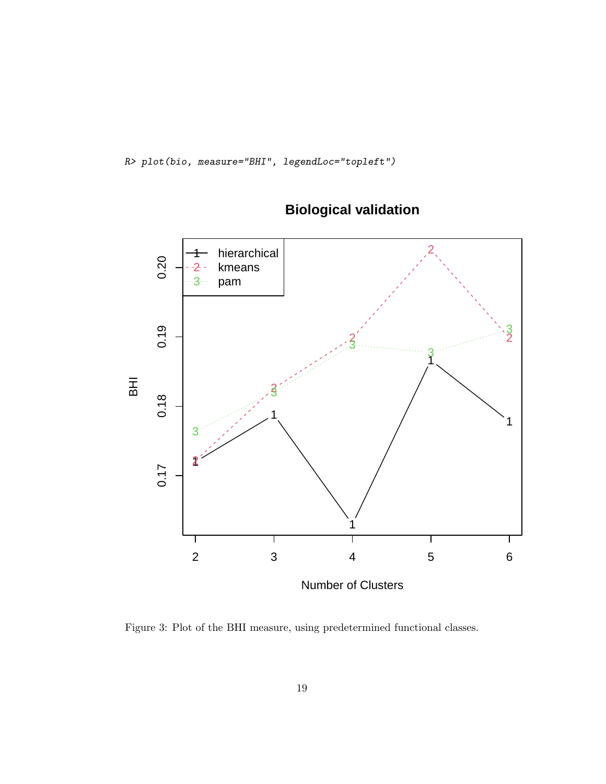R> plot(bio, measure="BHI", legendLoc="topleft")



# **Biological validation**

<span id="page-18-0"></span>Figure 3: Plot of the BHI measure, using predetermined functional classes.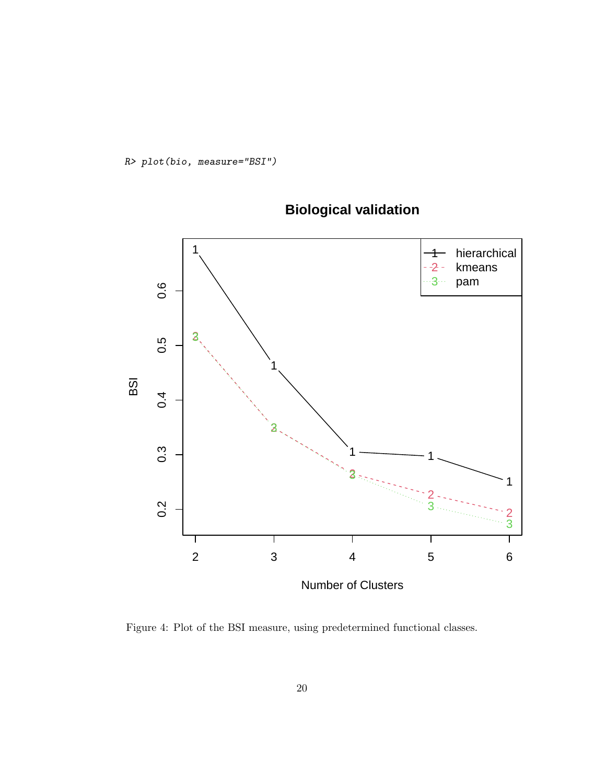R> plot(bio, measure="BSI")



# **Biological validation**

<span id="page-19-0"></span>Figure 4: Plot of the BSI measure, using predetermined functional classes.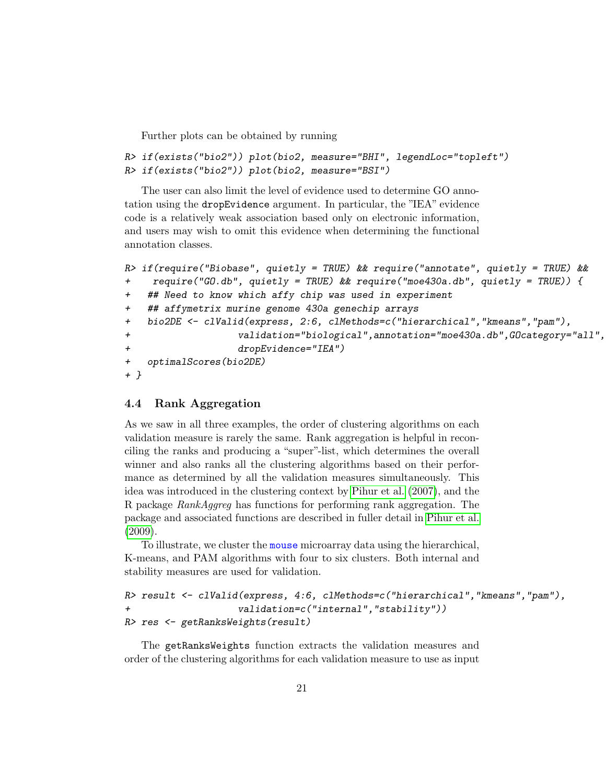Further plots can be obtained by running

```
R> if(exists("bio2")) plot(bio2, measure="BHI", legendLoc="topleft")
R> if(exists("bio2")) plot(bio2, measure="BSI")
```
The user can also limit the level of evidence used to determine GO annotation using the dropEvidence argument. In particular, the "IEA" evidence code is a relatively weak association based only on electronic information, and users may wish to omit this evidence when determining the functional annotation classes.

```
R> if(require("Biobase", quietly = TRUE) && require("annotate", quietly = TRUE) &&
+ require("GO.db", quietly = TRUE) && require("moe430a.db", quietly = TRUE)) {
+ ## Need to know which affy chip was used in experiment
   ## affymetrix murine genome 430a genechip arrays
+ bio2DE <- clValid(express, 2:6, clMethods=c("hierarchical","kmeans","pam"),
+ validation="biological",annotation="moe430a.db",GOcategory="all",
+ dropEvidence="IEA")
+ optimalScores(bio2DE)
+ }
```
# <span id="page-20-0"></span>4.4 Rank Aggregation

As we saw in all three examples, the order of clustering algorithms on each validation measure is rarely the same. Rank aggregation is helpful in reconciling the ranks and producing a "super"-list, which determines the overall winner and also ranks all the clustering algorithms based on their performance as determined by all the validation measures simultaneously. This idea was introduced in the clustering context by [Pihur et al.](#page-28-9) [\(2007\)](#page-28-9), and the R package RankAggreg has functions for performing rank aggregation. The package and associated functions are described in fuller detail in [Pihur et al.](#page-28-10) [\(2009\)](#page-28-10).

To illustrate, we cluster the mouse microarray data using the hierarchical, K-means, and PAM algorithms with four to six clusters. Both internal and stability measures are used for validation.

```
R> result <- clValid(express, 4:6, clMethods=c("hierarchical","kmeans","pam"),
+ validation=c("internal","stability"))
R> res <- getRanksWeights(result)
```
The getRanksWeights function extracts the validation measures and order of the clustering algorithms for each validation measure to use as input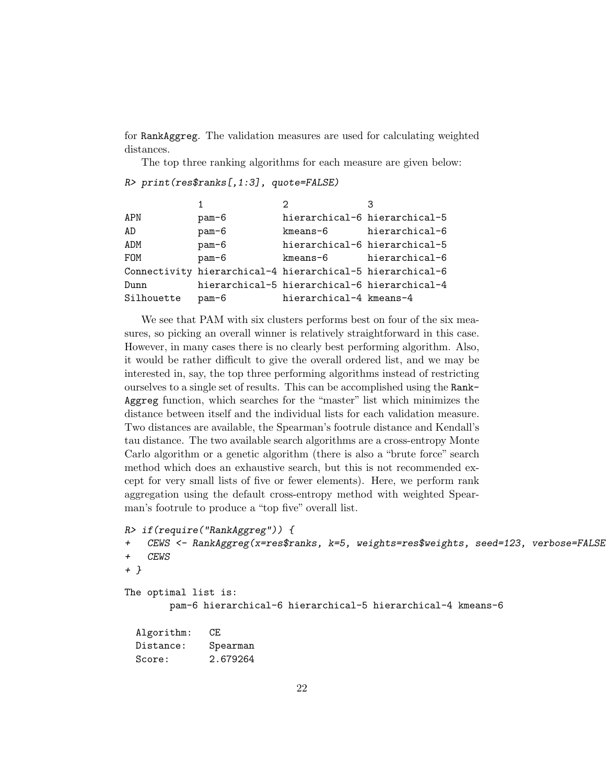for RankAggreg. The validation measures are used for calculating weighted distances.

The top three ranking algorithms for each measure are given below:

```
R> print(res$ranks[,1:3], quote=FALSE)
```

|            |         | っ                                                         |                |
|------------|---------|-----------------------------------------------------------|----------------|
| APN        | pam-6   | hierarchical-6 hierarchical-5                             |                |
| AD         | $pam-6$ | kmeans-6                                                  | hierarchical-6 |
| ADM        | $pam-6$ | hierarchical-6 hierarchical-5                             |                |
| FOM        | $pam-6$ | kmeans-6                                                  | hierarchical-6 |
|            |         | Connectivity hierarchical-4 hierarchical-5 hierarchical-6 |                |
| Dunn       |         | hierarchical-5 hierarchical-6 hierarchical-4              |                |
| Silhouette | pam-6   | hierarchical-4 kmeans-4                                   |                |

We see that PAM with six clusters performs best on four of the six measures, so picking an overall winner is relatively straightforward in this case. However, in many cases there is no clearly best performing algorithm. Also, it would be rather difficult to give the overall ordered list, and we may be interested in, say, the top three performing algorithms instead of restricting ourselves to a single set of results. This can be accomplished using the Rank-Aggreg function, which searches for the "master" list which minimizes the distance between itself and the individual lists for each validation measure. Two distances are available, the Spearman's footrule distance and Kendall's tau distance. The two available search algorithms are a cross-entropy Monte Carlo algorithm or a genetic algorithm (there is also a "brute force" search method which does an exhaustive search, but this is not recommended except for very small lists of five or fewer elements). Here, we perform rank aggregation using the default cross-entropy method with weighted Spearman's footrule to produce a "top five" overall list.

```
R> if(require("RankAggreg")) {
+ CEWS <- RankAggreg(x=res$ranks, k=5, weights=res$weights, seed=123, verbose=FALSE)
+ CEWS
+ }
The optimal list is:
       pam-6 hierarchical-6 hierarchical-5 hierarchical-4 kmeans-6
  Algorithm: CE
  Distance: Spearman
  Score: 2.679264
```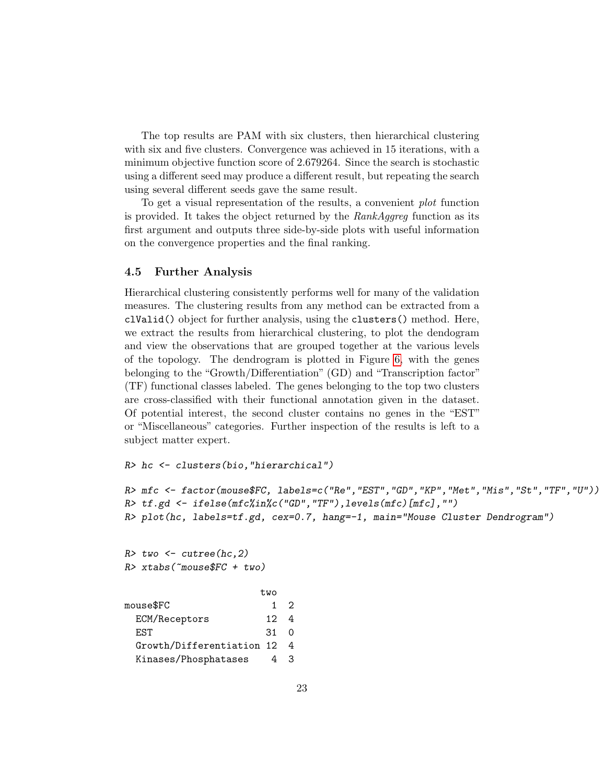The top results are PAM with six clusters, then hierarchical clustering with six and five clusters. Convergence was achieved in 15 iterations, with a minimum objective function score of 2.679264. Since the search is stochastic using a different seed may produce a different result, but repeating the search using several different seeds gave the same result.

To get a visual representation of the results, a convenient plot function is provided. It takes the object returned by the  $RankAq$ greg function as its first argument and outputs three side-by-side plots with useful information on the convergence properties and the final ranking.

## <span id="page-22-0"></span>4.5 Further Analysis

Hierarchical clustering consistently performs well for many of the validation measures. The clustering results from any method can be extracted from a clValid() object for further analysis, using the clusters() method. Here, we extract the results from hierarchical clustering, to plot the dendogram and view the observations that are grouped together at the various levels of the topology. The dendrogram is plotted in Figure [6,](#page-24-0) with the genes belonging to the "Growth/Differentiation" (GD) and "Transcription factor" (TF) functional classes labeled. The genes belonging to the top two clusters are cross-classified with their functional annotation given in the dataset. Of potential interest, the second cluster contains no genes in the "EST" or "Miscellaneous" categories. Further inspection of the results is left to a subject matter expert.

R> hc <- clusters(bio,"hierarchical")

```
R> mfc <- factor(mouse$FC, labels=c("Re","EST","GD","KP","Met","Mis","St","TF","U"))
R> tf.gd <- ifelse(mfc%in%c("GD","TF"),levels(mfc)[mfc],"")
R> plot(hc, labels=tf.gd, cex=0.7, hang=-1, main="Mouse Cluster Dendrogram")
```
 $R$ > two  $\leq$  cutree(hc,2)  $R$ > xtabs(~mouse\$FC + two)

|                           | two |   |
|---------------------------|-----|---|
| mouse\$FC                 |     | 2 |
| ECM/Receptors             | 12  |   |
| F.ST                      | .31 | ∩ |
| Growth/Differentiation 12 |     |   |
| Kinases/Phosphatases      |     |   |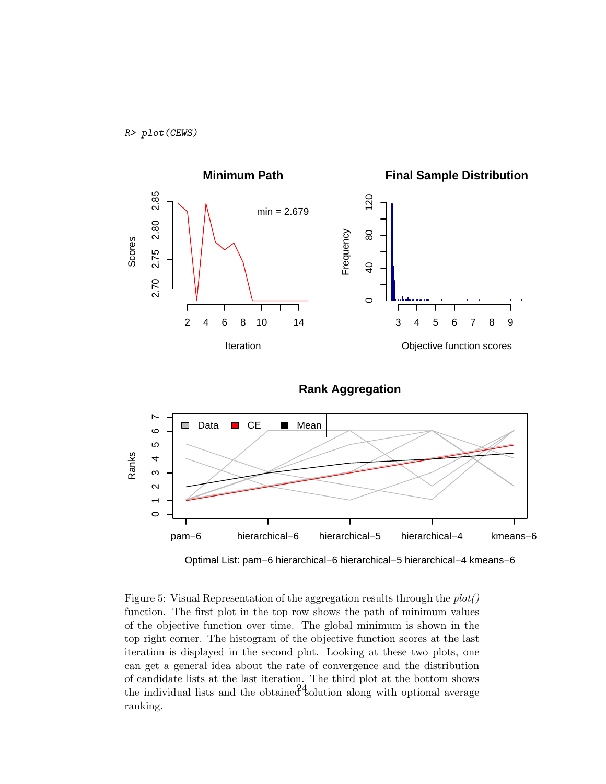





Optimal List: pam−6 hierarchical−6 hierarchical−5 hierarchical−4 kmeans−6

Figure 5: Visual Representation of the aggregation results through the  $plot()$ function. The first plot in the top row shows the path of minimum values of the objective function over time. The global minimum is shown in the top right corner. The histogram of the objective function scores at the last iteration is displayed in the second plot. Looking at these two plots, one can get a general idea about the rate of convergence and the distribution of candidate lists at the last iteration. The third plot at the bottom shows the individual lists and the obtained solution along with optional average ranking.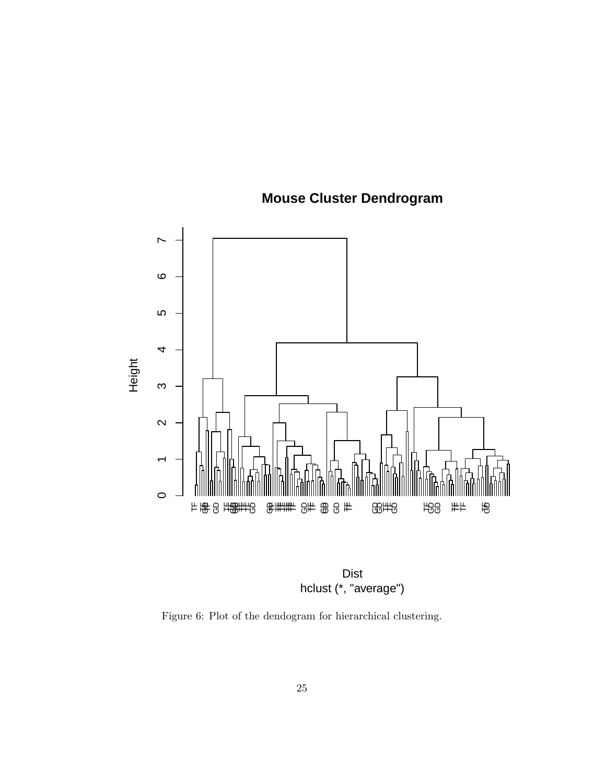

# **Mouse Cluster Dendrogram**

hclust (\*, "average") Dist

<span id="page-24-0"></span>Figure 6: Plot of the dendogram for hierarchical clustering.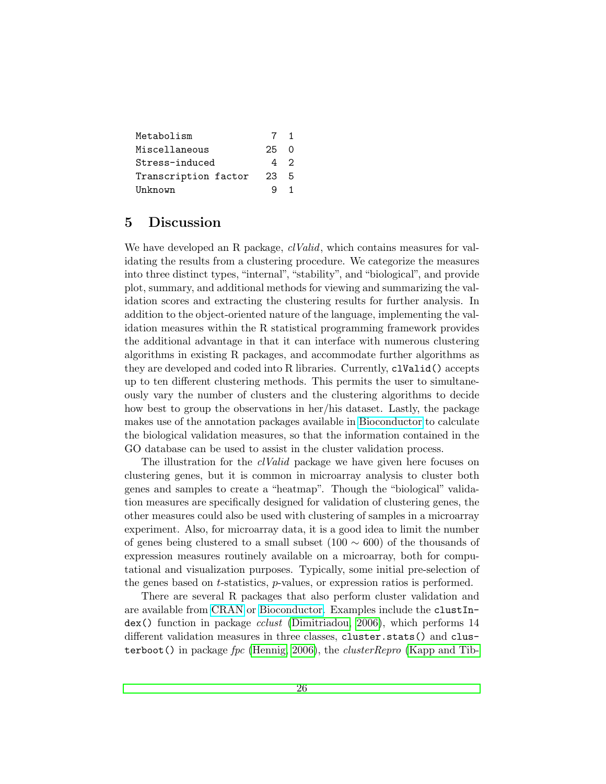| Metabolism           | 7   | 1        |
|----------------------|-----|----------|
| Miscellaneous        | 25. | $\Omega$ |
| Stress-induced       | 42  |          |
| Transcription factor | 23  | 5        |
| Unknown              |     |          |

# <span id="page-25-0"></span>5 Discussion

We have developed an R package, *clValid*, which contains measures for validating the results from a clustering procedure. We categorize the measures into three distinct types, "internal", "stability", and "biological", and provide plot, summary, and additional methods for viewing and summarizing the validation scores and extracting the clustering results for further analysis. In addition to the object-oriented nature of the language, implementing the validation measures within the R statistical programming framework provides the additional advantage in that it can interface with numerous clustering algorithms in existing R packages, and accommodate further algorithms as they are developed and coded into R libraries. Currently, clValid() accepts up to ten different clustering methods. This permits the user to simultaneously vary the number of clusters and the clustering algorithms to decide how best to group the observations in her/his dataset. Lastly, the package makes use of the annotation packages available in [Bioconductor](http://www.bioconductor.org/) to calculate the biological validation measures, so that the information contained in the GO database can be used to assist in the cluster validation process.

The illustration for the *clValid* package we have given here focuses on clustering genes, but it is common in microarray analysis to cluster both genes and samples to create a "heatmap". Though the "biological" validation measures are specifically designed for validation of clustering genes, the other measures could also be used with clustering of samples in a microarray experiment. Also, for microarray data, it is a good idea to limit the number of genes being clustered to a small subset  $(100 \sim 600)$  of the thousands of expression measures routinely available on a microarray, both for computational and visualization purposes. Typically, some initial pre-selection of the genes based on t-statistics, p-values, or expression ratios is performed.

There are several R packages that also perform cluster validation and are available from [CRAN](http://www.r-project.org) or [Bioconductor.](http://www.bioconductor.org) Examples include the clustIndex() function in package cclust [\(Dimitriadou, 2006\)](#page-27-11), which performs 14 different validation measures in three classes, cluster.stats() and clusterboot() in package  $\ell pc$  [\(Hennig, 2006\)](#page-28-11), the *clusterRepro* [\(Kapp and Tib-](#page-28-12)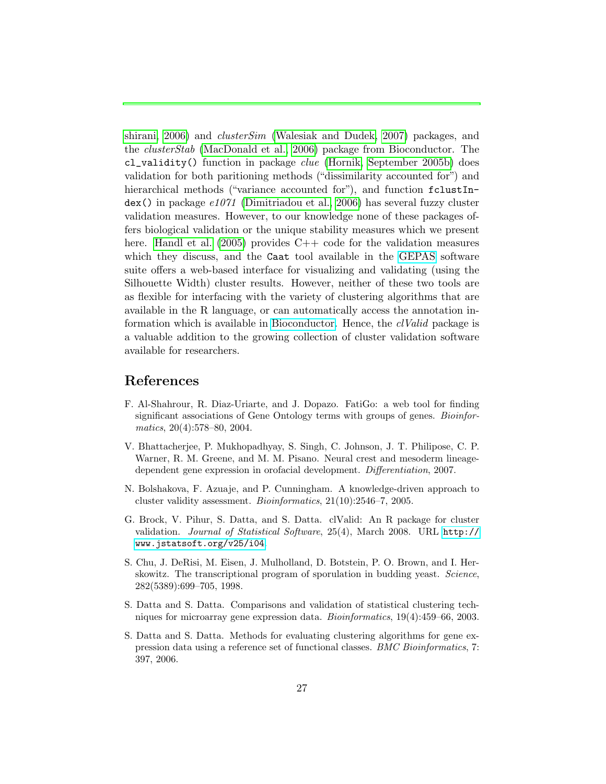[shirani, 2006\)](#page-28-12) and clusterSim [\(Walesiak and Dudek, 2007\)](#page-29-5) packages, and the clusterStab [\(MacDonald et al., 2006\)](#page-28-13) package from Bioconductor. The cl\_validity() function in package clue [\(Hornik, September 2005b\)](#page-28-14) does validation for both paritioning methods ("dissimilarity accounted for") and hierarchical methods ("variance accounted for"), and function fclustIn- $\text{dex}()$  in package  $e1071$  [\(Dimitriadou et al., 2006\)](#page-27-12) has several fuzzy cluster validation measures. However, to our knowledge none of these packages offers biological validation or the unique stability measures which we present here. [Handl et al.](#page-28-4)  $(2005)$  provides  $C++$  code for the validation measures which they discuss, and the Caat tool available in the [GEPAS](http://gepas.bioinfo.cipf.es/) software suite offers a web-based interface for visualizing and validating (using the Silhouette Width) cluster results. However, neither of these two tools are as flexible for interfacing with the variety of clustering algorithms that are available in the R language, or can automatically access the annotation in-formation which is available in [Bioconductor.](http://www.bioconductor.org/) Hence, the *clValid* package is a valuable addition to the growing collection of cluster validation software available for researchers.

# References

- <span id="page-26-6"></span>F. Al-Shahrour, R. Diaz-Uriarte, and J. Dopazo. FatiGo: a web tool for finding significant associations of Gene Ontology terms with groups of genes. Bioinformatics, 20(4):578–80, 2004.
- <span id="page-26-2"></span>V. Bhattacherjee, P. Mukhopadhyay, S. Singh, C. Johnson, J. T. Philipose, C. P. Warner, R. M. Greene, and M. M. Pisano. Neural crest and mesoderm lineagedependent gene expression in orofacial development. Differentiation, 2007.
- <span id="page-26-4"></span>N. Bolshakova, F. Azuaje, and P. Cunningham. A knowledge-driven approach to cluster validity assessment. Bioinformatics, 21(10):2546–7, 2005.
- <span id="page-26-0"></span>G. Brock, V. Pihur, S. Datta, and S. Datta. clValid: An R package for cluster validation. Journal of Statistical Software, 25(4), March 2008. URL [http://](http://www.jstatsoft.org/v25/i04) [www.jstatsoft.org/v25/i04](http://www.jstatsoft.org/v25/i04).
- <span id="page-26-1"></span>S. Chu, J. DeRisi, M. Eisen, J. Mulholland, D. Botstein, P. O. Brown, and I. Herskowitz. The transcriptional program of sporulation in budding yeast. Science, 282(5389):699–705, 1998.
- <span id="page-26-3"></span>S. Datta and S. Datta. Comparisons and validation of statistical clustering techniques for microarray gene expression data. Bioinformatics, 19(4):459–66, 2003.
- <span id="page-26-5"></span>S. Datta and S. Datta. Methods for evaluating clustering algorithms for gene expression data using a reference set of functional classes. BMC Bioinformatics, 7: 397, 2006.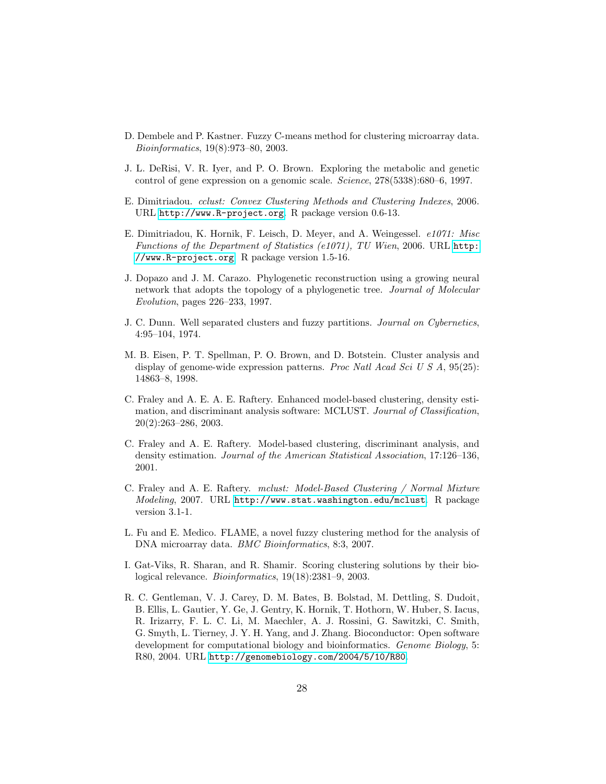- <span id="page-27-2"></span>D. Dembele and P. Kastner. Fuzzy C-means method for clustering microarray data. Bioinformatics, 19(8):973–80, 2003.
- <span id="page-27-0"></span>J. L. DeRisi, V. R. Iyer, and P. O. Brown. Exploring the metabolic and genetic control of gene expression on a genomic scale. Science, 278(5338):680–6, 1997.
- <span id="page-27-11"></span>E. Dimitriadou. cclust: Convex Clustering Methods and Clustering Indexes, 2006. URL <http://www.R-project.org>. R package version 0.6-13.
- <span id="page-27-12"></span>E. Dimitriadou, K. Hornik, F. Leisch, D. Meyer, and A. Weingessel. e1071: Misc Functions of the Department of Statistics (e1071), TU Wien, 2006. URL [http:](http://www.R-project.org) [//www.R-project.org](http://www.R-project.org). R package version 1.5-16.
- <span id="page-27-9"></span>J. Dopazo and J. M. Carazo. Phylogenetic reconstruction using a growing neural network that adopts the topology of a phylogenetic tree. Journal of Molecular Evolution, pages 226–233, 1997.
- <span id="page-27-5"></span>J. C. Dunn. Well separated clusters and fuzzy partitions. Journal on Cybernetics, 4:95–104, 1974.
- <span id="page-27-1"></span>M. B. Eisen, P. T. Spellman, P. O. Brown, and D. Botstein. Cluster analysis and display of genome-wide expression patterns. Proc Natl Acad Sci U S A, 95(25): 14863–8, 1998.
- <span id="page-27-7"></span>C. Fraley and A. E. A. E. Raftery. Enhanced model-based clustering, density estimation, and discriminant analysis software: MCLUST. Journal of Classification, 20(2):263–286, 2003.
- <span id="page-27-8"></span>C. Fraley and A. E. Raftery. Model-based clustering, discriminant analysis, and density estimation. Journal of the American Statistical Association, 17:126–136, 2001.
- <span id="page-27-6"></span>C. Fraley and A. E. Raftery. mclust: Model-Based Clustering / Normal Mixture Modeling, 2007. URL <http://www.stat.washington.edu/mclust>. R package version 3.1-1.
- <span id="page-27-3"></span>L. Fu and E. Medico. FLAME, a novel fuzzy clustering method for the analysis of DNA microarray data. BMC Bioinformatics, 8:3, 2007.
- <span id="page-27-4"></span>I. Gat-Viks, R. Sharan, and R. Shamir. Scoring clustering solutions by their biological relevance. Bioinformatics, 19(18):2381–9, 2003.
- <span id="page-27-10"></span>R. C. Gentleman, V. J. Carey, D. M. Bates, B. Bolstad, M. Dettling, S. Dudoit, B. Ellis, L. Gautier, Y. Ge, J. Gentry, K. Hornik, T. Hothorn, W. Huber, S. Iacus, R. Irizarry, F. L. C. Li, M. Maechler, A. J. Rossini, G. Sawitzki, C. Smith, G. Smyth, L. Tierney, J. Y. H. Yang, and J. Zhang. Bioconductor: Open software development for computational biology and bioinformatics. *Genome Biology*, 5: R80, 2004. URL <http://genomebiology.com/2004/5/10/R80>.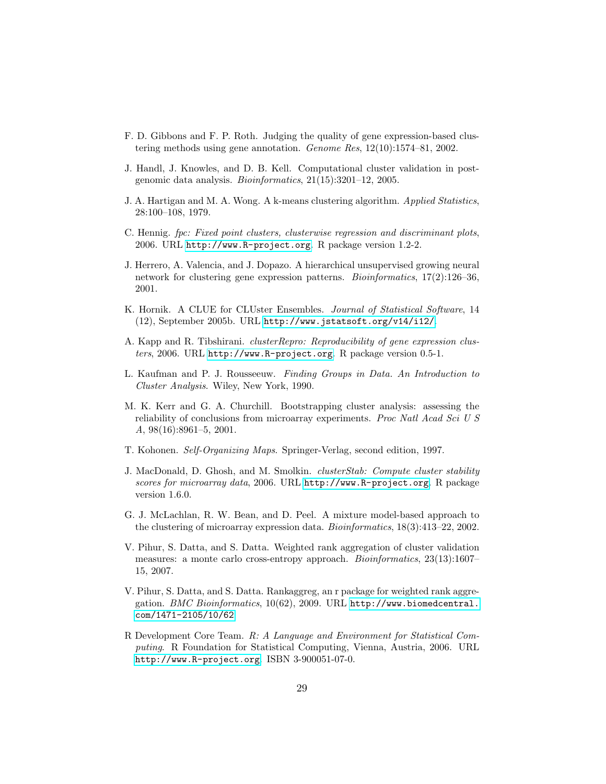- <span id="page-28-3"></span>F. D. Gibbons and F. P. Roth. Judging the quality of gene expression-based clustering methods using gene annotation. Genome Res, 12(10):1574–81, 2002.
- <span id="page-28-4"></span>J. Handl, J. Knowles, and D. B. Kell. Computational cluster validation in postgenomic data analysis. Bioinformatics, 21(15):3201–12, 2005.
- <span id="page-28-7"></span>J. A. Hartigan and M. A. Wong. A k-means clustering algorithm. Applied Statistics, 28:100–108, 1979.
- <span id="page-28-11"></span>C. Hennig. fpc: Fixed point clusters, clusterwise regression and discriminant plots, 2006. URL <http://www.R-project.org>. R package version 1.2-2.
- <span id="page-28-0"></span>J. Herrero, A. Valencia, and J. Dopazo. A hierarchical unsupervised growing neural network for clustering gene expression patterns. Bioinformatics, 17(2):126–36, 2001.
- <span id="page-28-14"></span>K. Hornik. A CLUE for CLUster Ensembles. Journal of Statistical Software, 14 (12), September 2005b. URL <http://www.jstatsoft.org/v14/i12/>.
- <span id="page-28-12"></span>A. Kapp and R. Tibshirani. clusterRepro: Reproducibility of gene expression clusters, 2006. URL <http://www.R-project.org>. R package version 0.5-1.
- <span id="page-28-6"></span>L. Kaufman and P. J. Rousseeuw. Finding Groups in Data. An Introduction to Cluster Analysis. Wiley, New York, 1990.
- <span id="page-28-2"></span>M. K. Kerr and G. A. Churchill. Bootstrapping cluster analysis: assessing the reliability of conclusions from microarray experiments. Proc Natl Acad Sci U S A, 98(16):8961–5, 2001.
- <span id="page-28-8"></span>T. Kohonen. Self-Organizing Maps. Springer-Verlag, second edition, 1997.
- <span id="page-28-13"></span>J. MacDonald, D. Ghosh, and M. Smolkin. clusterStab: Compute cluster stability scores for microarray data, 2006. URL <http://www.R-project.org>. R package version 1.6.0.
- <span id="page-28-1"></span>G. J. McLachlan, R. W. Bean, and D. Peel. A mixture model-based approach to the clustering of microarray expression data. Bioinformatics, 18(3):413–22, 2002.
- <span id="page-28-9"></span>V. Pihur, S. Datta, and S. Datta. Weighted rank aggregation of cluster validation measures: a monte carlo cross-entropy approach. Bioinformatics, 23(13):1607– 15, 2007.
- <span id="page-28-10"></span>V. Pihur, S. Datta, and S. Datta. Rankaggreg, an r package for weighted rank aggregation. BMC Bioinformatics, 10(62), 2009. URL [http://www.biomedcentral.](http://www.biomedcentral.com/1471-2105/10/62) [com/1471-2105/10/62](http://www.biomedcentral.com/1471-2105/10/62).
- <span id="page-28-5"></span>R Development Core Team. R: A Language and Environment for Statistical Computing. R Foundation for Statistical Computing, Vienna, Austria, 2006. URL <http://www.R-project.org>. ISBN 3-900051-07-0.